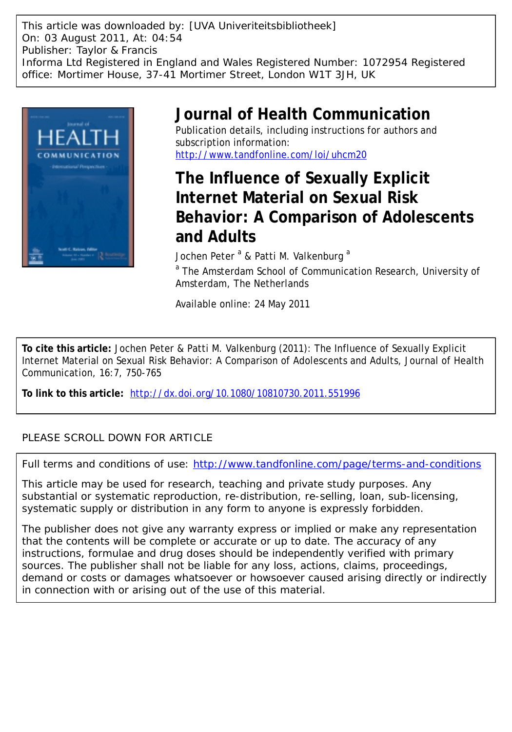This article was downloaded by: [UVA Univeriteitsbibliotheek] On: 03 August 2011, At: 04:54 Publisher: Taylor & Francis Informa Ltd Registered in England and Wales Registered Number: 1072954 Registered office: Mortimer House, 37-41 Mortimer Street, London W1T 3JH, UK



# **Journal of Health Communication**

Publication details, including instructions for authors and subscription information: <http://www.tandfonline.com/loi/uhcm20>

# **The Influence of Sexually Explicit Internet Material on Sexual Risk Behavior: A Comparison of Adolescents and Adults**

Jochen Peter <sup>a</sup> & Patti M. Valkenburg <sup>a</sup> <sup>a</sup> The Amsterdam School of Communication Research, University of Amsterdam, The Netherlands

Available online: 24 May 2011

**To cite this article:** Jochen Peter & Patti M. Valkenburg (2011): The Influence of Sexually Explicit Internet Material on Sexual Risk Behavior: A Comparison of Adolescents and Adults, Journal of Health Communication, 16:7, 750-765

**To link to this article:** <http://dx.doi.org/10.1080/10810730.2011.551996>

### PLEASE SCROLL DOWN FOR ARTICLE

Full terms and conditions of use:<http://www.tandfonline.com/page/terms-and-conditions>

This article may be used for research, teaching and private study purposes. Any substantial or systematic reproduction, re-distribution, re-selling, loan, sub-licensing, systematic supply or distribution in any form to anyone is expressly forbidden.

The publisher does not give any warranty express or implied or make any representation that the contents will be complete or accurate or up to date. The accuracy of any instructions, formulae and drug doses should be independently verified with primary sources. The publisher shall not be liable for any loss, actions, claims, proceedings, demand or costs or damages whatsoever or howsoever caused arising directly or indirectly in connection with or arising out of the use of this material.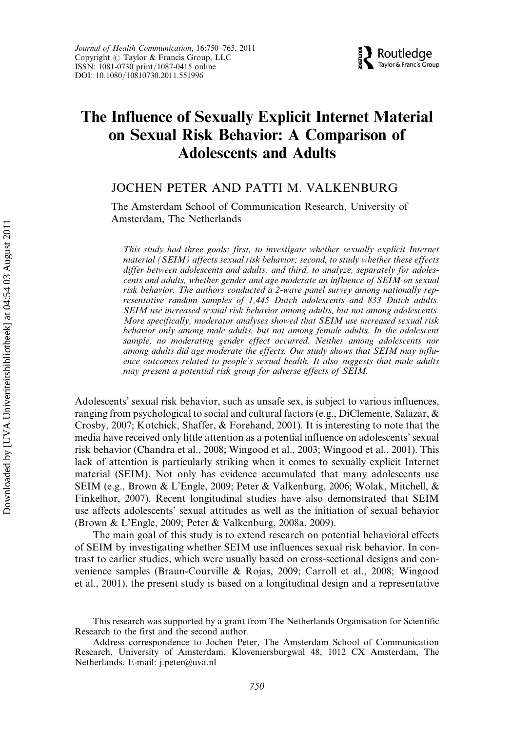

## The Influence of Sexually Explicit Internet Material on Sexual Risk Behavior: A Comparison of Adolescents and Adults

### JOCHEN PETER AND PATTI M. VALKENBURG

The Amsterdam School of Communication Research, University of Amsterdam, The Netherlands

This study had three goals: first, to investigate whether sexually explicit Internet material (SEIM) affects sexual risk behavior; second, to study whether these effects differ between adolescents and adults; and third, to analyze, separately for adolescents and adults, whether gender and age moderate an influence of SEIM on sexual risk behavior. The authors conducted a 2-wave panel survey among nationally representative random samples of 1,445 Dutch adolescents and 833 Dutch adults. SEIM use increased sexual risk behavior among adults, but not among adolescents. More specifically, moderator analyses showed that SEIM use increased sexual risk behavior only among male adults, but not among female adults. In the adolescent sample, no moderating gender effect occurred. Neither among adolescents nor among adults did age moderate the effects. Our study shows that SEIM may influence outcomes related to people's sexual health. It also suggests that male adults may present a potential risk group for adverse effects of SEIM.

Adolescents' sexual risk behavior, such as unsafe sex, is subject to various influences, ranging from psychological to social and cultural factors (e.g., DiClemente, Salazar, & Crosby, 2007; Kotchick, Shaffer, & Forehand, 2001). It is interesting to note that the media have received only little attention as a potential influence on adolescents' sexual risk behavior (Chandra et al., 2008; Wingood et al., 2003; Wingood et al., 2001). This lack of attention is particularly striking when it comes to sexually explicit Internet material (SEIM). Not only has evidence accumulated that many adolescents use SEIM (e.g., Brown & L'Engle, 2009; Peter & Valkenburg, 2006; Wolak, Mitchell, & Finkelhor, 2007). Recent longitudinal studies have also demonstrated that SEIM use affects adolescents' sexual attitudes as well as the initiation of sexual behavior (Brown & L'Engle, 2009; Peter & Valkenburg, 2008a, 2009).

The main goal of this study is to extend research on potential behavioral effects of SEIM by investigating whether SEIM use influences sexual risk behavior. In contrast to earlier studies, which were usually based on cross-sectional designs and convenience samples (Braun-Courville & Rojas, 2009; Carroll et al., 2008; Wingood et al., 2001), the present study is based on a longitudinal design and a representative

This research was supported by a grant from The Netherlands Organisation for Scientific Research to the first and the second author.

Address correspondence to Jochen Peter, The Amsterdam School of Communication Research, University of Amsterdam, Kloveniersburgwal 48, 1012 CX Amsterdam, The Netherlands. E-mail: j.peter@uva.nl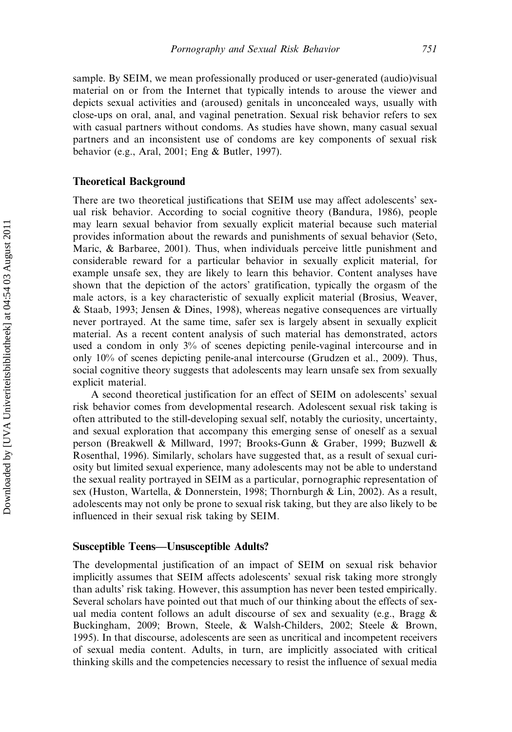sample. By SEIM, we mean professionally produced or user-generated (audio)visual material on or from the Internet that typically intends to arouse the viewer and depicts sexual activities and (aroused) genitals in unconcealed ways, usually with close-ups on oral, anal, and vaginal penetration. Sexual risk behavior refers to sex with casual partners without condoms. As studies have shown, many casual sexual partners and an inconsistent use of condoms are key components of sexual risk behavior (e.g., Aral, 2001; Eng & Butler, 1997).

#### Theoretical Background

There are two theoretical justifications that SEIM use may affect adolescents' sexual risk behavior. According to social cognitive theory (Bandura, 1986), people may learn sexual behavior from sexually explicit material because such material provides information about the rewards and punishments of sexual behavior (Seto, Maric, & Barbaree, 2001). Thus, when individuals perceive little punishment and considerable reward for a particular behavior in sexually explicit material, for example unsafe sex, they are likely to learn this behavior. Content analyses have shown that the depiction of the actors' gratification, typically the orgasm of the male actors, is a key characteristic of sexually explicit material (Brosius, Weaver, & Staab, 1993; Jensen & Dines, 1998), whereas negative consequences are virtually never portrayed. At the same time, safer sex is largely absent in sexually explicit material. As a recent content analysis of such material has demonstrated, actors used a condom in only 3% of scenes depicting penile-vaginal intercourse and in only 10% of scenes depicting penile-anal intercourse (Grudzen et al., 2009). Thus, social cognitive theory suggests that adolescents may learn unsafe sex from sexually explicit material.

A second theoretical justification for an effect of SEIM on adolescents' sexual risk behavior comes from developmental research. Adolescent sexual risk taking is often attributed to the still-developing sexual self, notably the curiosity, uncertainty, and sexual exploration that accompany this emerging sense of oneself as a sexual person (Breakwell & Millward, 1997; Brooks-Gunn & Graber, 1999; Buzwell & Rosenthal, 1996). Similarly, scholars have suggested that, as a result of sexual curiosity but limited sexual experience, many adolescents may not be able to understand the sexual reality portrayed in SEIM as a particular, pornographic representation of sex (Huston, Wartella, & Donnerstein, 1998; Thornburgh & Lin, 2002). As a result, adolescents may not only be prone to sexual risk taking, but they are also likely to be influenced in their sexual risk taking by SEIM.

#### Susceptible Teens—Unsusceptible Adults?

The developmental justification of an impact of SEIM on sexual risk behavior implicitly assumes that SEIM affects adolescents' sexual risk taking more strongly than adults' risk taking. However, this assumption has never been tested empirically. Several scholars have pointed out that much of our thinking about the effects of sexual media content follows an adult discourse of sex and sexuality (e.g., Bragg & Buckingham, 2009; Brown, Steele, & Walsh-Childers, 2002; Steele & Brown, 1995). In that discourse, adolescents are seen as uncritical and incompetent receivers of sexual media content. Adults, in turn, are implicitly associated with critical thinking skills and the competencies necessary to resist the influence of sexual media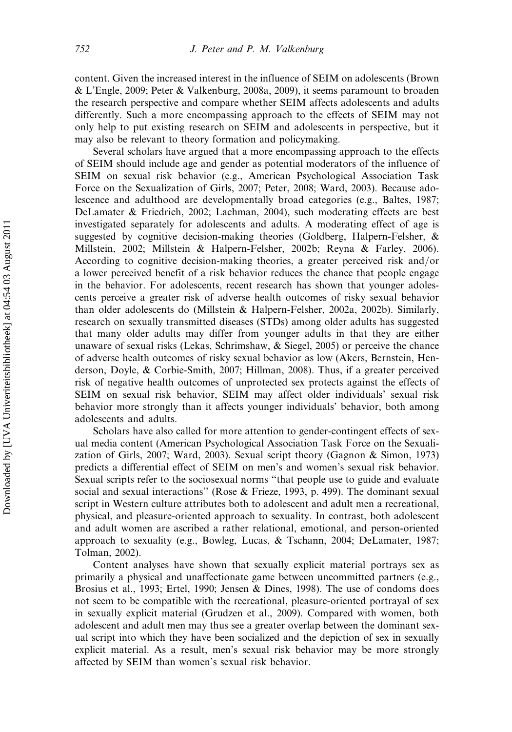content. Given the increased interest in the influence of SEIM on adolescents (Brown & L'Engle, 2009; Peter & Valkenburg, 2008a, 2009), it seems paramount to broaden the research perspective and compare whether SEIM affects adolescents and adults differently. Such a more encompassing approach to the effects of SEIM may not only help to put existing research on SEIM and adolescents in perspective, but it may also be relevant to theory formation and policymaking.

Several scholars have argued that a more encompassing approach to the effects of SEIM should include age and gender as potential moderators of the influence of SEIM on sexual risk behavior (e.g., American Psychological Association Task Force on the Sexualization of Girls, 2007; Peter, 2008; Ward, 2003). Because adolescence and adulthood are developmentally broad categories (e.g., Baltes, 1987; DeLamater & Friedrich, 2002; Lachman, 2004), such moderating effects are best investigated separately for adolescents and adults. A moderating effect of age is suggested by cognitive decision-making theories (Goldberg, Halpern-Felsher, & Millstein, 2002; Millstein & Halpern-Felsher, 2002b; Reyna & Farley, 2006). According to cognitive decision-making theories, a greater perceived risk and/or a lower perceived benefit of a risk behavior reduces the chance that people engage in the behavior. For adolescents, recent research has shown that younger adolescents perceive a greater risk of adverse health outcomes of risky sexual behavior than older adolescents do (Millstein & Halpern-Felsher, 2002a, 2002b). Similarly, research on sexually transmitted diseases (STDs) among older adults has suggested that many older adults may differ from younger adults in that they are either unaware of sexual risks (Lekas, Schrimshaw, & Siegel, 2005) or perceive the chance of adverse health outcomes of risky sexual behavior as low (Akers, Bernstein, Henderson, Doyle, & Corbie-Smith, 2007; Hillman, 2008). Thus, if a greater perceived risk of negative health outcomes of unprotected sex protects against the effects of SEIM on sexual risk behavior, SEIM may affect older individuals' sexual risk behavior more strongly than it affects younger individuals' behavior, both among adolescents and adults.

Scholars have also called for more attention to gender-contingent effects of sexual media content (American Psychological Association Task Force on the Sexualization of Girls, 2007; Ward, 2003). Sexual script theory (Gagnon & Simon, 1973) predicts a differential effect of SEIM on men's and women's sexual risk behavior. Sexual scripts refer to the sociosexual norms ''that people use to guide and evaluate social and sexual interactions'' (Rose & Frieze, 1993, p. 499). The dominant sexual script in Western culture attributes both to adolescent and adult men a recreational, physical, and pleasure-oriented approach to sexuality. In contrast, both adolescent and adult women are ascribed a rather relational, emotional, and person-oriented approach to sexuality (e.g., Bowleg, Lucas, & Tschann, 2004; DeLamater, 1987; Tolman, 2002).

Content analyses have shown that sexually explicit material portrays sex as primarily a physical and unaffectionate game between uncommitted partners (e.g., Brosius et al., 1993; Ertel, 1990; Jensen & Dines, 1998). The use of condoms does not seem to be compatible with the recreational, pleasure-oriented portrayal of sex in sexually explicit material (Grudzen et al., 2009). Compared with women, both adolescent and adult men may thus see a greater overlap between the dominant sexual script into which they have been socialized and the depiction of sex in sexually explicit material. As a result, men's sexual risk behavior may be more strongly affected by SEIM than women's sexual risk behavior.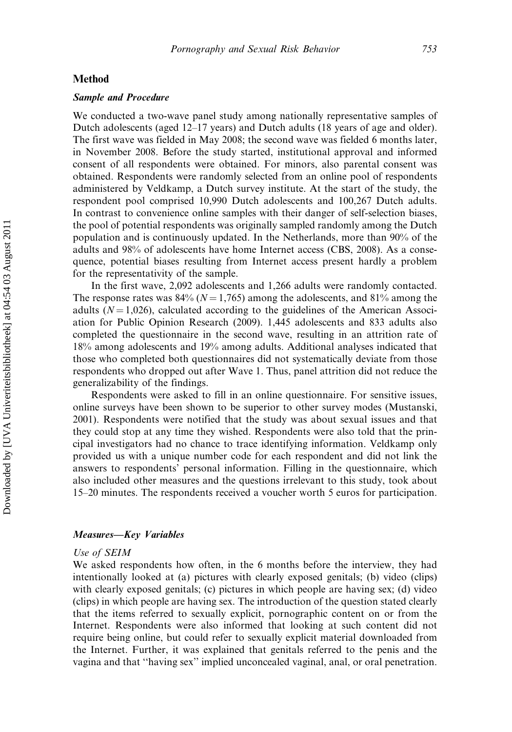#### Method

#### Sample and Procedure

We conducted a two-wave panel study among nationally representative samples of Dutch adolescents (aged 12–17 years) and Dutch adults (18 years of age and older). The first wave was fielded in May 2008; the second wave was fielded 6 months later, in November 2008. Before the study started, institutional approval and informed consent of all respondents were obtained. For minors, also parental consent was obtained. Respondents were randomly selected from an online pool of respondents administered by Veldkamp, a Dutch survey institute. At the start of the study, the respondent pool comprised 10,990 Dutch adolescents and 100,267 Dutch adults. In contrast to convenience online samples with their danger of self-selection biases, the pool of potential respondents was originally sampled randomly among the Dutch population and is continuously updated. In the Netherlands, more than 90% of the adults and 98% of adolescents have home Internet access (CBS, 2008). As a consequence, potential biases resulting from Internet access present hardly a problem for the representativity of the sample.

In the first wave, 2,092 adolescents and 1,266 adults were randomly contacted. The response rates was  $84\%$  ( $N = 1,765$ ) among the adolescents, and  $81\%$  among the adults ( $N = 1,026$ ), calculated according to the guidelines of the American Association for Public Opinion Research (2009). 1,445 adolescents and 833 adults also completed the questionnaire in the second wave, resulting in an attrition rate of 18% among adolescents and 19% among adults. Additional analyses indicated that those who completed both questionnaires did not systematically deviate from those respondents who dropped out after Wave 1. Thus, panel attrition did not reduce the generalizability of the findings.

Respondents were asked to fill in an online questionnaire. For sensitive issues, online surveys have been shown to be superior to other survey modes (Mustanski, 2001). Respondents were notified that the study was about sexual issues and that they could stop at any time they wished. Respondents were also told that the principal investigators had no chance to trace identifying information. Veldkamp only provided us with a unique number code for each respondent and did not link the answers to respondents' personal information. Filling in the questionnaire, which also included other measures and the questions irrelevant to this study, took about 15–20 minutes. The respondents received a voucher worth 5 euros for participation.

#### Measures—Key Variables

#### Use of SEIM

We asked respondents how often, in the 6 months before the interview, they had intentionally looked at (a) pictures with clearly exposed genitals; (b) video (clips) with clearly exposed genitals; (c) pictures in which people are having sex; (d) video (clips) in which people are having sex. The introduction of the question stated clearly that the items referred to sexually explicit, pornographic content on or from the Internet. Respondents were also informed that looking at such content did not require being online, but could refer to sexually explicit material downloaded from the Internet. Further, it was explained that genitals referred to the penis and the vagina and that ''having sex'' implied unconcealed vaginal, anal, or oral penetration.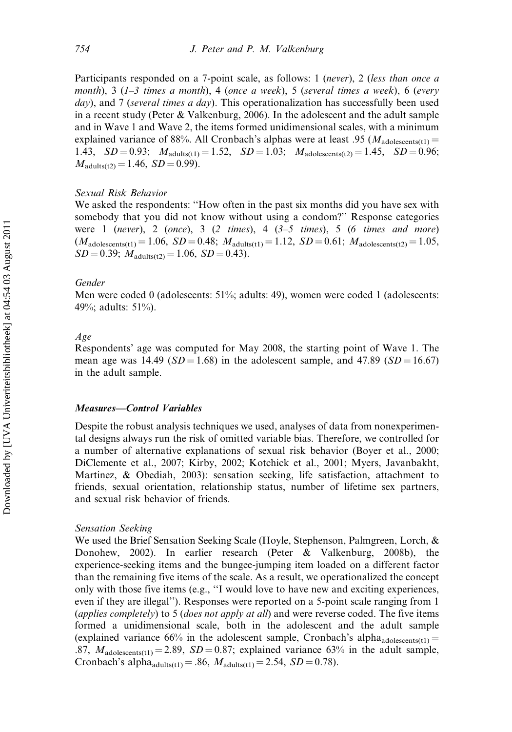Participants responded on a 7-point scale, as follows: 1 (never), 2 (less than once a month),  $3(1-3$  times a month),  $4$  (once a week),  $5$  (several times a week),  $6$  (every  $day$ ), and 7 (several times a day). This operationalization has successfully been used in a recent study (Peter & Valkenburg, 2006). In the adolescent and the adult sample and in Wave 1 and Wave 2, the items formed unidimensional scales, with a minimum explained variance of 88%. All Cronbach's alphas were at least .95 ( $M_{\text{adolescents(t1)}} =$ 1.43,  $SD = 0.93$ ;  $M_{\text{adults(t1)}} = 1.52$ ,  $SD = 1.03$ ;  $M_{\text{adolescents(t2)}} = 1.45$ ,  $SD = 0.96$ ;  $M_{\text{adults}(t2)} = 1.46$ ,  $SD = 0.99$ ).

#### Sexual Risk Behavior

We asked the respondents: ''How often in the past six months did you have sex with somebody that you did not know without using a condom?'' Response categories were 1 (never), 2 (once), 3 (2 times), 4 ( $3-5$  times), 5 (6 times and more)  $(M_{\text{adolescents(t1)}} = 1.06, SD = 0.48; M_{\text{adults(t1)}} = 1.12, SD = 0.61; M_{\text{adolescents(t2)}} = 1.05,$  $SD = 0.39$ ;  $M_{\text{adults}(t2)} = 1.06$ ,  $SD = 0.43$ ).

#### Gender

Men were coded 0 (adolescents: 51%; adults: 49), women were coded 1 (adolescents: 49%; adults: 51%).

#### Age

Respondents' age was computed for May 2008, the starting point of Wave 1. The mean age was 14.49 ( $SD = 1.68$ ) in the adolescent sample, and 47.89 ( $SD = 16.67$ ) in the adult sample.

#### Measures—Control Variables

Despite the robust analysis techniques we used, analyses of data from nonexperimental designs always run the risk of omitted variable bias. Therefore, we controlled for a number of alternative explanations of sexual risk behavior (Boyer et al., 2000; DiClemente et al., 2007; Kirby, 2002; Kotchick et al., 2001; Myers, Javanbakht, Martinez, & Obediah, 2003): sensation seeking, life satisfaction, attachment to friends, sexual orientation, relationship status, number of lifetime sex partners, and sexual risk behavior of friends.

#### Sensation Seeking

We used the Brief Sensation Seeking Scale (Hoyle, Stephenson, Palmgreen, Lorch, & Donohew, 2002). In earlier research (Peter & Valkenburg, 2008b), the experience-seeking items and the bungee-jumping item loaded on a different factor than the remaining five items of the scale. As a result, we operationalized the concept only with those five items (e.g., ''I would love to have new and exciting experiences, even if they are illegal''). Responses were reported on a 5-point scale ranging from 1 (applies completely) to 5 (does not apply at all) and were reverse coded. The five items formed a unidimensional scale, both in the adolescent and the adult sample (explained variance 66% in the adolescent sample, Cronbach's alpha<sub>adolescents</sub>(t1) = .87,  $M_{\text{adolescents(t1)}} = 2.89$ ,  $SD = 0.87$ ; explained variance 63% in the adult sample, Cronbach's alpha<sub>adults(t1)</sub> = .86,  $M_{\text{adults(t1)}}$  = 2.54,  $SD$  = 0.78).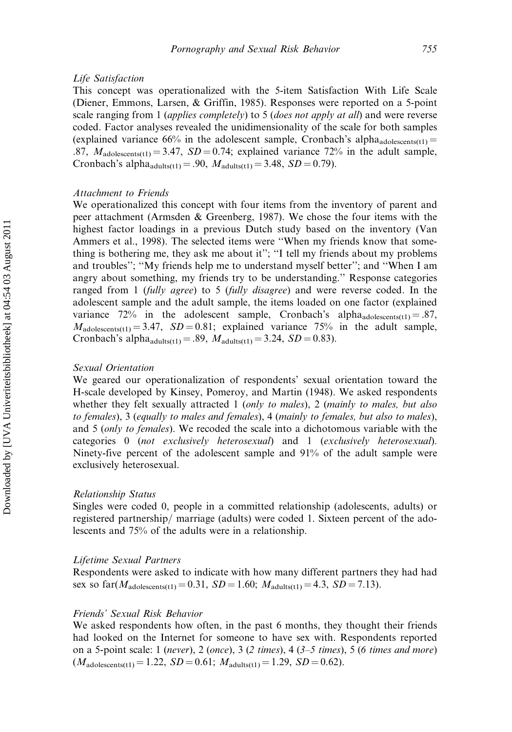#### Life Satisfaction

This concept was operationalized with the 5-item Satisfaction With Life Scale (Diener, Emmons, Larsen, & Griffin, 1985). Responses were reported on a 5-point scale ranging from 1 (*applies completely*) to 5 (*does not apply at all*) and were reverse coded. Factor analyses revealed the unidimensionality of the scale for both samples (explained variance 66% in the adolescent sample, Cronbach's alpha<sub>adolescents(t1)</sub> = .87,  $M_{\text{adolescents(t1)}} = 3.47$ ,  $SD = 0.74$ ; explained variance 72% in the adult sample, Cronbach's alpha<sub>adults(t1)</sub> = .90,  $M_{\text{adults(t1)}}$  = 3.48,  $SD$  = 0.79).

#### Attachment to Friends

We operationalized this concept with four items from the inventory of parent and peer attachment (Armsden & Greenberg, 1987). We chose the four items with the highest factor loadings in a previous Dutch study based on the inventory (Van Ammers et al., 1998). The selected items were ''When my friends know that something is bothering me, they ask me about it"; "I tell my friends about my problems and troubles''; ''My friends help me to understand myself better''; and ''When I am angry about something, my friends try to be understanding.'' Response categories ranged from 1 (fully agree) to 5 (fully disagree) and were reverse coded. In the adolescent sample and the adult sample, the items loaded on one factor (explained variance 72% in the adolescent sample, Cronbach's alpha<sub>adolescents</sub>(t<sub>1</sub>) = .87,  $M_{\text{adolescents(t1)}} = 3.47$ ,  $SD = 0.81$ ; explained variance 75% in the adult sample, Cronbach's alpha<sub>adults(t1)</sub> = .89,  $M_{\text{adults(t1)}}$  = 3.24,  $SD$  = 0.83).

#### Sexual Orientation

We geared our operationalization of respondents' sexual orientation toward the H-scale developed by Kinsey, Pomeroy, and Martin (1948). We asked respondents whether they felt sexually attracted 1 (only to males), 2 (mainly to males, but also to females), 3 (equally to males and females), 4 (mainly to females, but also to males), and 5 (only to females). We recoded the scale into a dichotomous variable with the categories 0 (not exclusively heterosexual) and 1 (exclusively heterosexual). Ninety-five percent of the adolescent sample and 91% of the adult sample were exclusively heterosexual.

#### Relationship Status

Singles were coded 0, people in a committed relationship (adolescents, adults) or registered partnership/ marriage (adults) were coded 1. Sixteen percent of the adolescents and 75% of the adults were in a relationship.

#### Lifetime Sexual Partners

Respondents were asked to indicate with how many different partners they had had sex so far( $M_{\text{adolescents(t1)}} = 0.31$ ,  $SD = 1.60$ ;  $M_{\text{adults(t1)}} = 4.3$ ,  $SD = 7.13$ ).

#### Friends' Sexual Risk Behavior

We asked respondents how often, in the past 6 months, they thought their friends had looked on the Internet for someone to have sex with. Respondents reported on a 5-point scale: 1 (never), 2 (once), 3 (2 times), 4 ( $3-5$  times), 5 (6 times and more)  $(M_{\text{adolescents}(t1)} = 1.22, SD = 0.61; M_{\text{adults}(t1)} = 1.29, SD = 0.62).$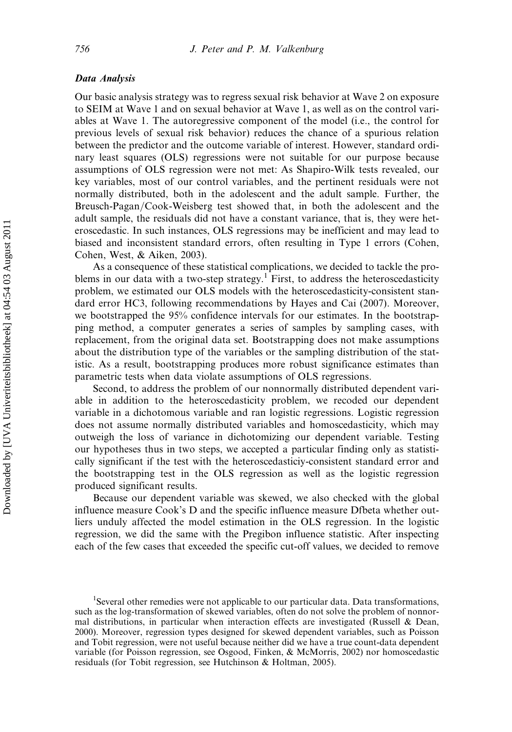#### Data Analysis

Our basic analysis strategy was to regress sexual risk behavior at Wave 2 on exposure to SEIM at Wave 1 and on sexual behavior at Wave 1, as well as on the control variables at Wave 1. The autoregressive component of the model (i.e., the control for previous levels of sexual risk behavior) reduces the chance of a spurious relation between the predictor and the outcome variable of interest. However, standard ordinary least squares (OLS) regressions were not suitable for our purpose because assumptions of OLS regression were not met: As Shapiro-Wilk tests revealed, our key variables, most of our control variables, and the pertinent residuals were not normally distributed, both in the adolescent and the adult sample. Further, the Breusch-Pagan/Cook-Weisberg test showed that, in both the adolescent and the adult sample, the residuals did not have a constant variance, that is, they were heteroscedastic. In such instances, OLS regressions may be inefficient and may lead to biased and inconsistent standard errors, often resulting in Type 1 errors (Cohen, Cohen, West, & Aiken, 2003).

As a consequence of these statistical complications, we decided to tackle the problems in our data with a two-step strategy.<sup>1</sup> First, to address the heteroscedasticity problem, we estimated our OLS models with the heteroscedasticity-consistent standard error HC3, following recommendations by Hayes and Cai (2007). Moreover, we bootstrapped the 95% confidence intervals for our estimates. In the bootstrapping method, a computer generates a series of samples by sampling cases, with replacement, from the original data set. Bootstrapping does not make assumptions about the distribution type of the variables or the sampling distribution of the statistic. As a result, bootstrapping produces more robust significance estimates than parametric tests when data violate assumptions of OLS regressions.

Second, to address the problem of our nonnormally distributed dependent variable in addition to the heteroscedasticity problem, we recoded our dependent variable in a dichotomous variable and ran logistic regressions. Logistic regression does not assume normally distributed variables and homoscedasticity, which may outweigh the loss of variance in dichotomizing our dependent variable. Testing our hypotheses thus in two steps, we accepted a particular finding only as statistically significant if the test with the heteroscedasticiy-consistent standard error and the bootstrapping test in the OLS regression as well as the logistic regression produced significant results.

Because our dependent variable was skewed, we also checked with the global influence measure Cook's D and the specific influence measure Dfbeta whether outliers unduly affected the model estimation in the OLS regression. In the logistic regression, we did the same with the Pregibon influence statistic. After inspecting each of the few cases that exceeded the specific cut-off values, we decided to remove

<sup>&</sup>lt;sup>1</sup>Several other remedies were not applicable to our particular data. Data transformations, such as the log-transformation of skewed variables, often do not solve the problem of nonnormal distributions, in particular when interaction effects are investigated (Russell & Dean, 2000). Moreover, regression types designed for skewed dependent variables, such as Poisson and Tobit regression, were not useful because neither did we have a true count-data dependent variable (for Poisson regression, see Osgood, Finken, & McMorris, 2002) nor homoscedastic residuals (for Tobit regression, see Hutchinson & Holtman, 2005).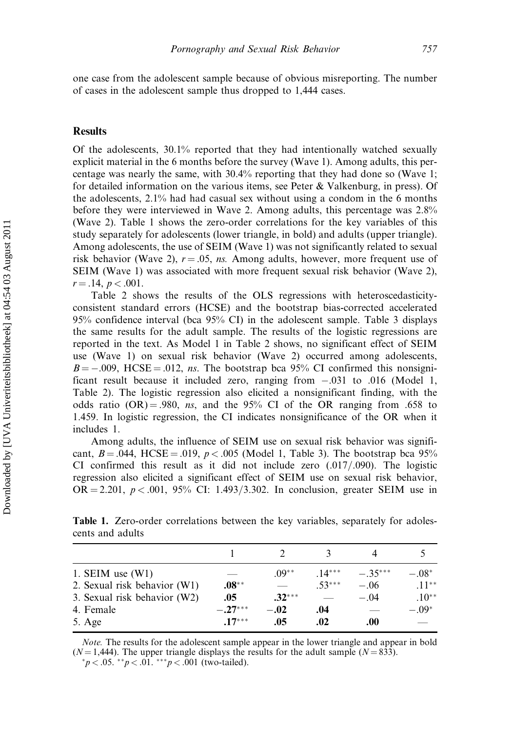one case from the adolescent sample because of obvious misreporting. The number of cases in the adolescent sample thus dropped to 1,444 cases.

#### Results

Of the adolescents, 30.1% reported that they had intentionally watched sexually explicit material in the 6 months before the survey (Wave 1). Among adults, this percentage was nearly the same, with 30.4% reporting that they had done so (Wave 1; for detailed information on the various items, see Peter & Valkenburg, in press). Of the adolescents, 2.1% had had casual sex without using a condom in the 6 months before they were interviewed in Wave 2. Among adults, this percentage was 2.8% (Wave 2). Table 1 shows the zero-order correlations for the key variables of this study separately for adolescents (lower triangle, in bold) and adults (upper triangle). Among adolescents, the use of SEIM (Wave 1) was not significantly related to sexual risk behavior (Wave 2),  $r = .05$ , ns. Among adults, however, more frequent use of SEIM (Wave 1) was associated with more frequent sexual risk behavior (Wave 2),  $r = .14, p < .001.$ 

Table 2 shows the results of the OLS regressions with heteroscedasticityconsistent standard errors (HCSE) and the bootstrap bias-corrected accelerated 95% confidence interval (bca 95% CI) in the adolescent sample. Table 3 displays the same results for the adult sample. The results of the logistic regressions are reported in the text. As Model 1 in Table 2 shows, no significant effect of SEIM use (Wave 1) on sexual risk behavior (Wave 2) occurred among adolescents,  $B = -.009$ , HCSE = .012, ns. The bootstrap bca 95% CI confirmed this nonsignificant result because it included zero, ranging from  $-.031$  to .016 (Model 1, Table 2). The logistic regression also elicited a nonsignificant finding, with the odds ratio  $(OR) = .980$ , ns, and the 95% CI of the OR ranging from .658 to 1.459. In logistic regression, the CI indicates nonsignificance of the OR when it includes 1.

Among adults, the influence of SEIM use on sexual risk behavior was significant,  $B = .044$ , HCSE = .019,  $p < .005$  (Model 1, Table 3). The bootstrap bca 95% CI confirmed this result as it did not include zero  $(.017/.090)$ . The logistic regression also elicited a significant effect of SEIM use on sexual risk behavior, OR = 2.201,  $p < .001$ , 95% CI: 1.493/3.302. In conclusion, greater SEIM use in

Table 1. Zero-order correlations between the key variables, separately for adolescents and adults

| 1. SEIM use $(W1)$           |           | $0^{9**}$ | $14***$ | $-.35***$ | $-.08*$ |
|------------------------------|-----------|-----------|---------|-----------|---------|
| 2. Sexual risk behavior (W1) | $.08***$  |           | $53***$ | $-.06$    | $11**$  |
| 3. Sexual risk behavior (W2) | .05       | $.32***$  |         | $-.04$    | $.10**$ |
| 4. Female                    | $-.27***$ | $-.02$    | .04     |           | $-.09*$ |
| 5. Age                       | $.17***$  | .05       | .02     | .00.      |         |
|                              |           |           |         |           |         |

Note. The results for the adolescent sample appear in the lower triangle and appear in bold ( $N = 1,444$ ). The upper triangle displays the results for the adult sample ( $N = 833$ ).  $p < .05.$  \*\* $p < .01.$  \*\*\* $p < .001$  (two-tailed).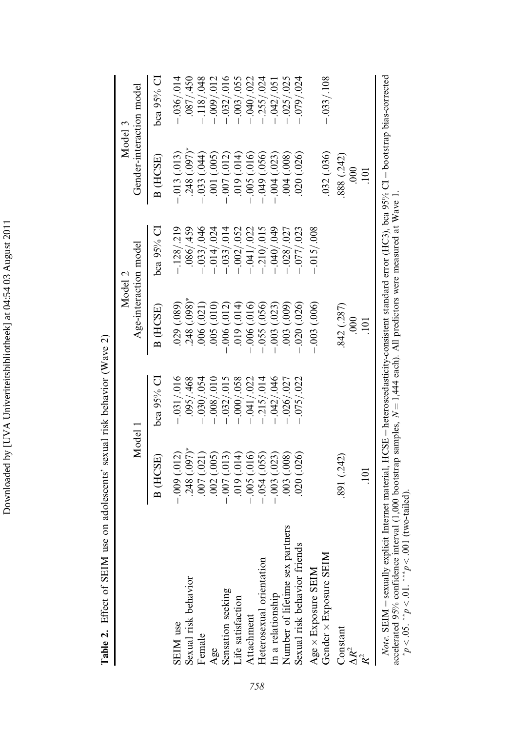| ׇ֚֕֡                    |
|-------------------------|
|                         |
|                         |
| ١                       |
| l<br>ı                  |
| $\ddot{\hat{}}$         |
| ֡֡֡֡֡֡                  |
|                         |
|                         |
| ١                       |
|                         |
|                         |
|                         |
|                         |
| l<br>l                  |
|                         |
| ו<br>ו<br>$\frac{1}{1}$ |
| ֚                       |
| $-111$                  |
|                         |
|                         |
|                         |
|                         |
|                         |
| ļ                       |

Table 2. Effect of SEIM use on adolescents' sexual risk behavior (Wave 2) Table 2. Effect of SEIM use on adolescents' sexual risk behavior (Wave 2)

|                                  |                                                                                                                     |                  | Model 2               |                  | Model 3                  |                  |
|----------------------------------|---------------------------------------------------------------------------------------------------------------------|------------------|-----------------------|------------------|--------------------------|------------------|
|                                  | Model 1                                                                                                             |                  | Age-interaction model |                  | Gender-interaction model |                  |
|                                  | B (HCSE)                                                                                                            | bca 95% $CI$     | <b>B</b> (HCSE)       | bca $95%$ CI     | B (HCSE)                 | bca $95%$ CI     |
| SEIM use                         | .009(0.012)                                                                                                         | $-.031/016$      | 029 (.089)            | $-.128/0.219$    | $-0.013(0.013)$          | $-.036/.014$     |
| Sexual risk behavior             | 248(.097)                                                                                                           | .095 / .468      | $(.098)^*$<br>.248(   | 086/.459         | $(0.097)^*$              | 0.24/780         |
| Female                           | .007(021)                                                                                                           | $-.030/.054$     | .006(.021)            | 033/046          | $-0.033(0.044)$          | $-.118/.048$     |
| Age                              | .002(.005)                                                                                                          | $-0.008 / 0.010$ | (010)<br>005(         | .014 / 024       | .001(.005)               | $-.009/.012$     |
| Sensation seeking                | .007(013)                                                                                                           | $-.032/.015$     | $-.006(.012)$         | $-.033/.014$     | $-.007(012)$             | $-.032/.016$     |
| Life satisfaction                | (019)(014)                                                                                                          | $-.000/.058$     | (0.10, 0.014)         | $-.002/.052$     | $(0.19)$ $(0.014)$       | $-.003/.055$     |
| Attachment                       | .005(.016)                                                                                                          | $-.041/022$      | $-0.006$ $(0.016)$    | $-.041/022$      | $-0.005(0.016)$          | $-.040/.022$     |
| Heterosexual orientation         | $-0.054(0.055)$                                                                                                     | $-.215/.014$     | $-0.055$ (.056)       | $-.210/.015$     | $-0.049(0.056)$          | $-255/024$       |
| In a relationship                | .003(0.023)                                                                                                         | $-042/046$       | $-0.003(0.023)$       | $-0.040 / 0.049$ | $-0.004(023)$            | $-.042/.051$     |
| Number of lifetime sex partners  | 003(0.008)                                                                                                          | .026/.027        | (009)<br>003(         | .028 / .027      | 004 (.008)               | $-0.025 / 0.025$ |
| Sexual risk behavior friends     | 020(0.026)                                                                                                          | $-.075/.022$     | (026)<br>$-0.020 -$   | .077/.023        | 020 (.026)               | $-0.079/024$     |
| $Age \times Exposure$ SEIM       |                                                                                                                     |                  | $-0.003$ (.006)       | $-.015/008$      |                          |                  |
| Gender × Exposure SEIM           |                                                                                                                     |                  |                       |                  | 032 (.036)               | $-.033/.108$     |
| Constant                         | 891 (.242)                                                                                                          |                  | 842 (.287)            |                  | 888 (.242)               |                  |
| $\Delta R^2$                     |                                                                                                                     |                  | $000$ .               |                  | $000$ .                  |                  |
|                                  | $\overline{101}$                                                                                                    |                  | $\overline{101}$      |                  | 101                      |                  |
| Note. SEIM = sexually explicit 1 | internet material, HCSE = heteroscedasticity-consistent standard error (HC3), bca 95% CI = bootstrap bias-corrected |                  |                       |                  |                          |                  |

758

Ļ. accelerated 95% confidence interval (1,000 bootstrap samples,  $N = 1,444$  each). All predictors were measured at Wave 1.  $p < .001$  (two-tailed).  $p < 0.05$ .  $* p < 0.01$ .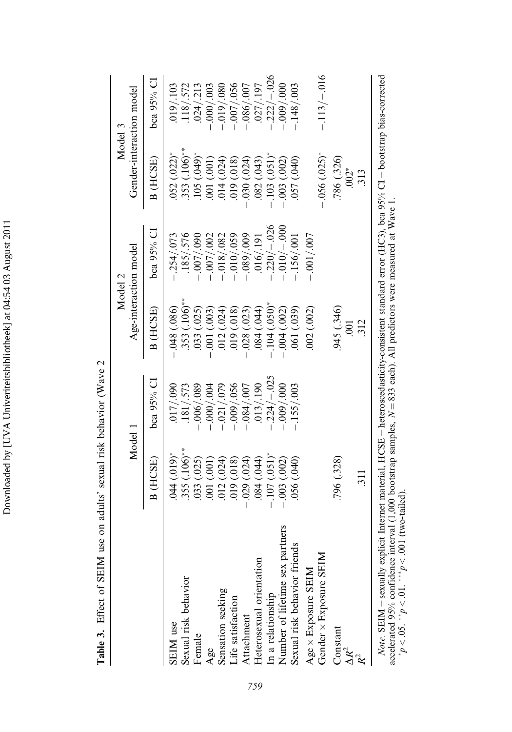|                                                                                                                                                    |                            |              | Model 2                    |                  | Model 3                           |                |
|----------------------------------------------------------------------------------------------------------------------------------------------------|----------------------------|--------------|----------------------------|------------------|-----------------------------------|----------------|
|                                                                                                                                                    | Model 1                    |              | Age-interaction model      |                  | Gender-interaction model          |                |
|                                                                                                                                                    | B (HCSE)                   | bca $95%$ CI | B (HCSE)                   | bca $95%$ CI     | B (HCSE)                          | bca 95% CI     |
| SEIM use                                                                                                                                           | 044 (.019)*                | 017/090      | $(086)$ $(086)$            | .254 / .073      | $052(.022)^*$                     | 019/.103       |
| Sexual risk behavior                                                                                                                               | $355(.106)$ **             | 181/.573     | $353$ (.106) <sup>**</sup> | .185 / .576      |                                   | 118/.572       |
| Female                                                                                                                                             | 033 (.025)                 | .006/.089    | .033(.025)                 | $-0.007/000$     | $.353(.106)$ **<br>$.105(.049)$ * | .024 / .213    |
| Age                                                                                                                                                | (001)(001)                 | .000/.004    | (.003)<br>$\,$ 001 (       | $-.007/002$      | (001)(001)                        | $-0.000 / 000$ |
| Sensation seeking                                                                                                                                  | 012(0.024)                 | $-.021/079$  | (.024)<br>$\frac{12}{019}$ | $-.018/.082$     | .014(024)                         | $-0.019/080$   |
| Life satisfaction                                                                                                                                  | (019)(018)                 | $-.009/.056$ | (.018)                     | $-.010/.059$     | .019(0.018)                       | $-0.007/056$   |
| Attachment                                                                                                                                         | (0.029)(0.024)             | .084 / .007  | .028(.023)                 | $-0.089 / 0.009$ | (0.001, 0.001)                    | $-.086/.007$   |
| Heterosexual orientation                                                                                                                           | (1040, 0.084)              | .013/.190    | (1040, 180)                | .016/.191        | .082(.043)                        | 197/.197       |
| In a relationship                                                                                                                                  | $-.107(.051)$ <sup>*</sup> | $.224/-.025$ | $.104(.050)$ *             | $-.220/-.026$    | $-.103(.051)$ <sup>*</sup>        | $-222/ -026$   |
| Number of lifetime sex partners                                                                                                                    | $-0.003(0.002)$            | 009/.000     | .004(.002)                 | $-0.010/-000$    | $-0.003(0.002)$                   | $-.009/.000$   |
| Sexual risk behavior friends                                                                                                                       | $(040)$ $050$ .            | $-155/003$   | 061 (.039)                 | $-.156/.001$     | (040)<br>.057                     | $-.148/.003$   |
| $Age \times Exposure$ SEIM                                                                                                                         |                            |              | 002(002)                   | $-.001/0017$     |                                   |                |
| Gender × Exposure SEIM                                                                                                                             |                            |              |                            |                  | $-.056(.025)$ *                   | $-113/ -016$   |
| Constant                                                                                                                                           | 796 (.328)                 |              | 945 (.346)                 |                  | .786 (.326)                       |                |
| $\Delta R^2$                                                                                                                                       |                            |              | $\overline{00}$            |                  | $.002*$                           |                |
|                                                                                                                                                    | $\frac{311}{2}$            |              | 312                        |                  | 313                               |                |
| Note, SEIM = sexually explicit Internet material. HCSE = heteroscedasticity-consistent standard error (HC3), bca 95% CI = bootstrap bias-corrected |                            |              |                            |                  |                                   |                |

| :<br>;<br>$\overline{\phantom{a}}$                                                                         |
|------------------------------------------------------------------------------------------------------------|
| ı<br>ı                                                                                                     |
| $rac{b}{c}$<br>i                                                                                           |
| 5<br>ξ<br>i<br>Contractor                                                                                  |
| is si<br>-<br>-<br>-<br>-<br>-<br>-<br>-<br>-<br>-<br><br><br><br><br><br><br><br><br><br><br><br><br><br> |
| I                                                                                                          |
| $\frac{1}{2}$                                                                                              |
| I                                                                                                          |
| 5                                                                                                          |
| بہ<br>مہم<br>š<br>I<br>j<br>ĺ                                                                              |
| ì<br>Ī                                                                                                     |
| į<br>.<br> <br>                                                                                            |

Note. SEIM = sexually explicit Internet material, HCSE = heteroscedasticity-consistent standard error (HC3), bca 95% CI = bootstrap bias-corrected Ļ accelerated 95% confidence interval (1,000 bootstrap samples,  $N=833$  each). All predictors were measured at Wave 1.  $p < .001$  (two-tailed).  $p < 0.05$ .  $* p < 0.01$ .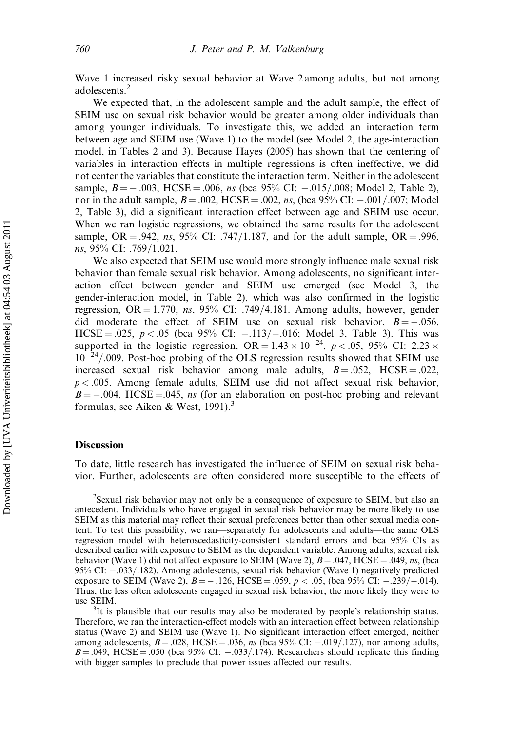Wave 1 increased risky sexual behavior at Wave 2 among adults, but not among adolescents.<sup>2</sup>

We expected that, in the adolescent sample and the adult sample, the effect of SEIM use on sexual risk behavior would be greater among older individuals than among younger individuals. To investigate this, we added an interaction term between age and SEIM use (Wave 1) to the model (see Model 2, the age-interaction model, in Tables 2 and 3). Because Hayes (2005) has shown that the centering of variables in interaction effects in multiple regressions is often ineffective, we did not center the variables that constitute the interaction term. Neither in the adolescent sample,  $B = -.003$ , HCSE = .006, ns (bca 95% CI:  $-.015/.008$ ; Model 2, Table 2), nor in the adult sample,  $B = .002$ , HCSE = .002, ns, (bca 95% CI:  $-.001/.007$ ; Model 2, Table 3), did a significant interaction effect between age and SEIM use occur. When we ran logistic regressions, we obtained the same results for the adolescent sample, OR = .942, ns, 95% CI: .747/1.187, and for the adult sample, OR = .996, ns, 95% CI: .769/1.021.

We also expected that SEIM use would more strongly influence male sexual risk behavior than female sexual risk behavior. Among adolescents, no significant interaction effect between gender and SEIM use emerged (see Model 3, the gender-interaction model, in Table 2), which was also confirmed in the logistic regression,  $OR = 1.770$ , ns,  $95\%$  CI: .749/4.181. Among adults, however, gender did moderate the effect of SEIM use on sexual risk behavior,  $B = -.056$ , HCSE = .025,  $p < .05$  (bca 95% CI:  $-.113/-.016$ ; Model 3, Table 3). This was supported in the logistic regression, OR =  $1.43 \times 10^{-24}$ , p < .05, 95% CI: 2.23  $\times$  $10^{-24}$ ,009. Post-hoc probing of the OLS regression results showed that SEIM use increased sexual risk behavior among male adults,  $B = .052$ ,  $HCSE = .022$ .  $p < .005$ . Among female adults, SEIM use did not affect sexual risk behavior,  $B = -.004$ , HCSE = 0.045, ns (for an elaboration on post-hoc probing and relevant formulas, see Aiken & West, 1991).<sup>3</sup>

#### **Discussion**

To date, little research has investigated the influence of SEIM on sexual risk behavior. Further, adolescents are often considered more susceptible to the effects of

<sup>2</sup>Sexual risk behavior may not only be a consequence of exposure to SEIM, but also an antecedent. Individuals who have engaged in sexual risk behavior may be more likely to use SEIM as this material may reflect their sexual preferences better than other sexual media content. To test this possibility, we ran—separately for adolescents and adults—the same OLS regression model with heteroscedasticity-consistent standard errors and bca 95% CIs as described earlier with exposure to SEIM as the dependent variable. Among adults, sexual risk behavior (Wave 1) did not affect exposure to SEIM (Wave 2),  $B = .047$ , HCSE = .049, ns, (bca 95% CI:  $-.033/.182$ ). Among adolescents, sexual risk behavior (Wave 1) negatively predicted exposure to SEIM (Wave 2),  $B = -.126$ , HCSE = .059,  $p < .05$ , (bca 95% CI:  $-.239/-014$ ). Thus, the less often adolescents engaged in sexual risk behavior, the more likely they were to use SEIM.

It is plausible that our results may also be moderated by people's relationship status. Therefore, we ran the interaction-effect models with an interaction effect between relationship status (Wave 2) and SEIM use (Wave 1). No significant interaction effect emerged, neither among adolescents,  $B = .028$ , HCSE = .036, ns (bca 95% CI: -.019/.127), nor among adults,  $B = .049$ , HCSE = .050 (bca 95% CI:  $-.033/174$ ). Researchers should replicate this finding with bigger samples to preclude that power issues affected our results.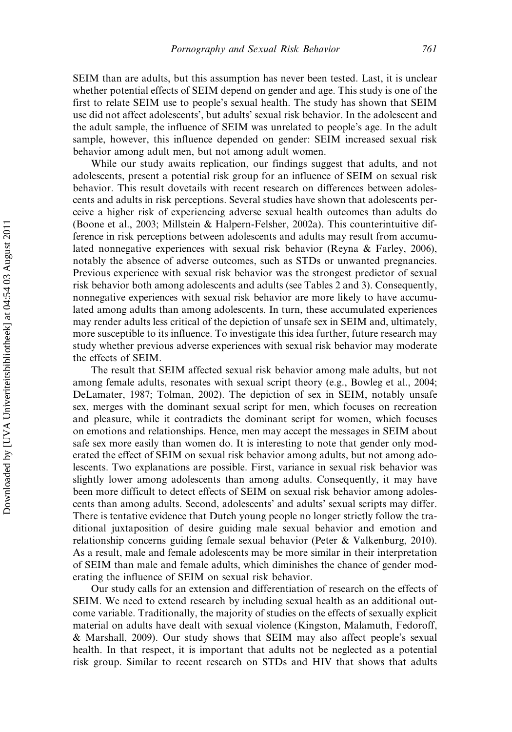SEIM than are adults, but this assumption has never been tested. Last, it is unclear whether potential effects of SEIM depend on gender and age. This study is one of the first to relate SEIM use to people's sexual health. The study has shown that SEIM use did not affect adolescents', but adults' sexual risk behavior. In the adolescent and the adult sample, the influence of SEIM was unrelated to people's age. In the adult sample, however, this influence depended on gender: SEIM increased sexual risk behavior among adult men, but not among adult women.

While our study awaits replication, our findings suggest that adults, and not adolescents, present a potential risk group for an influence of SEIM on sexual risk behavior. This result dovetails with recent research on differences between adolescents and adults in risk perceptions. Several studies have shown that adolescents perceive a higher risk of experiencing adverse sexual health outcomes than adults do (Boone et al., 2003; Millstein & Halpern-Felsher, 2002a). This counterintuitive difference in risk perceptions between adolescents and adults may result from accumulated nonnegative experiences with sexual risk behavior (Reyna & Farley, 2006), notably the absence of adverse outcomes, such as STDs or unwanted pregnancies. Previous experience with sexual risk behavior was the strongest predictor of sexual risk behavior both among adolescents and adults (see Tables 2 and 3). Consequently, nonnegative experiences with sexual risk behavior are more likely to have accumulated among adults than among adolescents. In turn, these accumulated experiences may render adults less critical of the depiction of unsafe sex in SEIM and, ultimately, more susceptible to its influence. To investigate this idea further, future research may study whether previous adverse experiences with sexual risk behavior may moderate the effects of SEIM.

The result that SEIM affected sexual risk behavior among male adults, but not among female adults, resonates with sexual script theory (e.g., Bowleg et al., 2004; DeLamater, 1987; Tolman, 2002). The depiction of sex in SEIM, notably unsafe sex, merges with the dominant sexual script for men, which focuses on recreation and pleasure, while it contradicts the dominant script for women, which focuses on emotions and relationships. Hence, men may accept the messages in SEIM about safe sex more easily than women do. It is interesting to note that gender only moderated the effect of SEIM on sexual risk behavior among adults, but not among adolescents. Two explanations are possible. First, variance in sexual risk behavior was slightly lower among adolescents than among adults. Consequently, it may have been more difficult to detect effects of SEIM on sexual risk behavior among adolescents than among adults. Second, adolescents' and adults' sexual scripts may differ. There is tentative evidence that Dutch young people no longer strictly follow the traditional juxtaposition of desire guiding male sexual behavior and emotion and relationship concerns guiding female sexual behavior (Peter & Valkenburg, 2010). As a result, male and female adolescents may be more similar in their interpretation of SEIM than male and female adults, which diminishes the chance of gender moderating the influence of SEIM on sexual risk behavior.

Our study calls for an extension and differentiation of research on the effects of SEIM. We need to extend research by including sexual health as an additional outcome variable. Traditionally, the majority of studies on the effects of sexually explicit material on adults have dealt with sexual violence (Kingston, Malamuth, Fedoroff, & Marshall, 2009). Our study shows that SEIM may also affect people's sexual health. In that respect, it is important that adults not be neglected as a potential risk group. Similar to recent research on STDs and HIV that shows that adults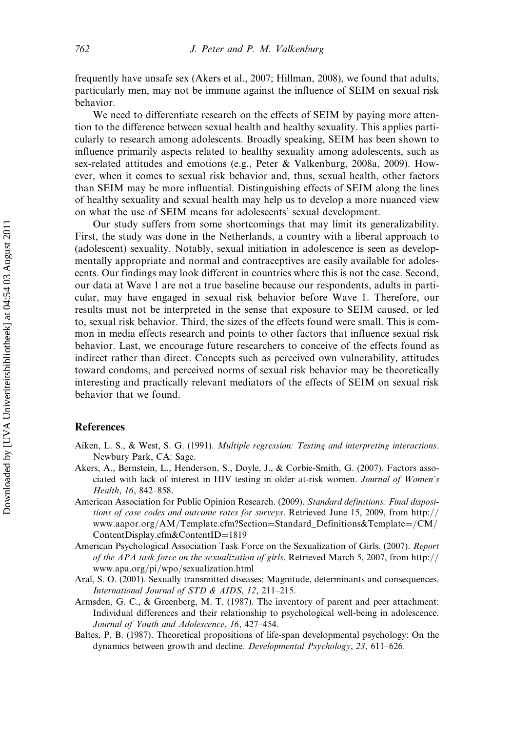frequently have unsafe sex (Akers et al., 2007; Hillman, 2008), we found that adults, particularly men, may not be immune against the influence of SEIM on sexual risk behavior.

We need to differentiate research on the effects of SEIM by paying more attention to the difference between sexual health and healthy sexuality. This applies particularly to research among adolescents. Broadly speaking, SEIM has been shown to influence primarily aspects related to healthy sexuality among adolescents, such as sex-related attitudes and emotions (e.g., Peter & Valkenburg, 2008a, 2009). However, when it comes to sexual risk behavior and, thus, sexual health, other factors than SEIM may be more influential. Distinguishing effects of SEIM along the lines of healthy sexuality and sexual health may help us to develop a more nuanced view on what the use of SEIM means for adolescents' sexual development.

Our study suffers from some shortcomings that may limit its generalizability. First, the study was done in the Netherlands, a country with a liberal approach to (adolescent) sexuality. Notably, sexual initiation in adolescence is seen as developmentally appropriate and normal and contraceptives are easily available for adolescents. Our findings may look different in countries where this is not the case. Second, our data at Wave 1 are not a true baseline because our respondents, adults in particular, may have engaged in sexual risk behavior before Wave 1. Therefore, our results must not be interpreted in the sense that exposure to SEIM caused, or led to, sexual risk behavior. Third, the sizes of the effects found were small. This is common in media effects research and points to other factors that influence sexual risk behavior. Last, we encourage future researchers to conceive of the effects found as indirect rather than direct. Concepts such as perceived own vulnerability, attitudes toward condoms, and perceived norms of sexual risk behavior may be theoretically interesting and practically relevant mediators of the effects of SEIM on sexual risk behavior that we found.

#### References

- Aiken, L. S., & West, S. G. (1991). Multiple regression: Testing and interpreting interactions. Newbury Park, CA: Sage.
- Akers, A., Bernstein, L., Henderson, S., Doyle, J., & Corbie-Smith, G. (2007). Factors associated with lack of interest in HIV testing in older at-risk women. Journal of Women's Health, 16, 842–858.
- American Association for Public Opinion Research. (2009). Standard definitions: Final dispositions of case codes and outcome rates for surveys. Retrieved June 15, 2009, from http:// www.aapor.org/AM/Template.cfm?Section=Standard\_Definitions&Template=/CM/ ContentDisplay.cfm&ContentID=1819
- American Psychological Association Task Force on the Sexualization of Girls. (2007). Report of the APA task force on the sexualization of girls. Retrieved March 5, 2007, from http:// www.apa.org/pi/wpo/sexualization.html
- Aral, S. O. (2001). Sexually transmitted diseases: Magnitude, determinants and consequences. International Journal of STD & AIDS, 12, 211–215.
- Armsden, G. C., & Greenberg, M. T. (1987). The inventory of parent and peer attachment: Individual differences and their relationship to psychological well-being in adolescence. Journal of Youth and Adolescence, 16, 427–454.
- Baltes, P. B. (1987). Theoretical propositions of life-span developmental psychology: On the dynamics between growth and decline. Developmental Psychology, 23, 611–626.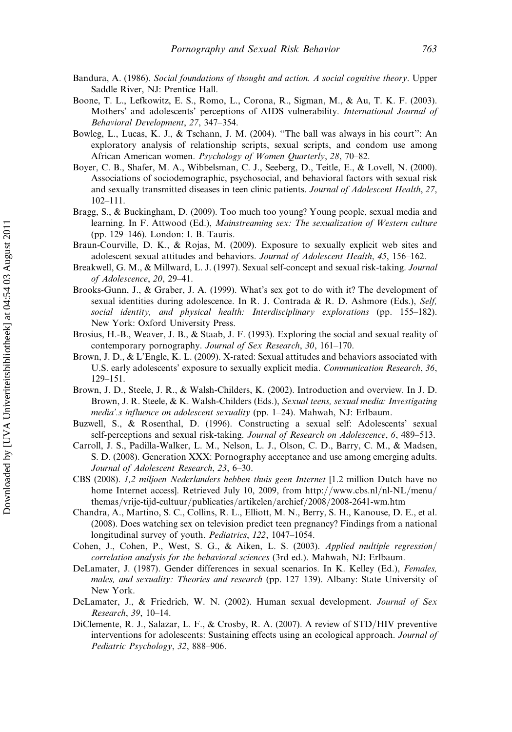- Bandura, A. (1986). Social foundations of thought and action. A social cognitive theory. Upper Saddle River, NJ: Prentice Hall.
- Boone, T. L., Lefkowitz, E. S., Romo, L., Corona, R., Sigman, M., & Au, T. K. F. (2003). Mothers' and adolescents' perceptions of AIDS vulnerability. International Journal of Behavioral Development, 27, 347–354.
- Bowleg, L., Lucas, K. J., & Tschann, J. M. (2004). ''The ball was always in his court'': An exploratory analysis of relationship scripts, sexual scripts, and condom use among African American women. Psychology of Women Quarterly, 28, 70–82.
- Boyer, C. B., Shafer, M. A., Wibbelsman, C. J., Seeberg, D., Teitle, E., & Lovell, N. (2000). Associations of sociodemographic, psychosocial, and behavioral factors with sexual risk and sexually transmitted diseases in teen clinic patients. Journal of Adolescent Health, 27, 102–111.
- Bragg, S., & Buckingham, D. (2009). Too much too young? Young people, sexual media and learning. In F. Attwood (Ed.), Mainstreaming sex: The sexualization of Western culture (pp. 129–146). London: I. B. Tauris.
- Braun-Courville, D. K., & Rojas, M. (2009). Exposure to sexually explicit web sites and adolescent sexual attitudes and behaviors. Journal of Adolescent Health, 45, 156–162.
- Breakwell, G. M., & Millward, L. J. (1997). Sexual self-concept and sexual risk-taking. Journal of Adolescence, 20, 29–41.
- Brooks-Gunn, J., & Graber, J. A. (1999). What's sex got to do with it? The development of sexual identities during adolescence. In R. J. Contrada & R. D. Ashmore (Eds.), Self, social identity, and physical health: Interdisciplinary explorations (pp. 155–182). New York: Oxford University Press.
- Brosius, H.-B., Weaver, J. B., & Staab, J. F. (1993). Exploring the social and sexual reality of contemporary pornography. Journal of Sex Research, 30, 161-170.
- Brown, J. D., & L'Engle, K. L. (2009). X-rated: Sexual attitudes and behaviors associated with U.S. early adolescents' exposure to sexually explicit media. Communication Research, 36, 129–151.
- Brown, J. D., Steele, J. R., & Walsh-Childers, K. (2002). Introduction and overview. In J. D. Brown, J. R. Steele, & K. Walsh-Childers (Eds.), Sexual teens, sexual media: Investigating media'.s influence on adolescent sexuality (pp. 1–24). Mahwah, NJ: Erlbaum.
- Buzwell, S., & Rosenthal, D. (1996). Constructing a sexual self: Adolescents' sexual self-perceptions and sexual risk-taking. Journal of Research on Adolescence, 6, 489-513.
- Carroll, J. S., Padilla-Walker, L. M., Nelson, L. J., Olson, C. D., Barry, C. M., & Madsen, S. D. (2008). Generation XXX: Pornography acceptance and use among emerging adults. Journal of Adolescent Research, 23, 6–30.
- CBS (2008). 1,2 miljoen Nederlanders hebben thuis geen Internet [1.2 million Dutch have no home Internet access]. Retrieved July 10, 2009, from http://www.cbs.nl/nl-NL/menu/ themas/vrije-tijd-cultuur/publicaties/artikelen/archief/2008/2008-2641-wm.htm
- Chandra, A., Martino, S. C., Collins, R. L., Elliott, M. N., Berry, S. H., Kanouse, D. E., et al. (2008). Does watching sex on television predict teen pregnancy? Findings from a national longitudinal survey of youth. Pediatrics, 122, 1047–1054.
- Cohen, J., Cohen, P., West, S. G., & Aiken, L. S.  $(2003)$ . Applied multiple regression/ correlation analysis for the behavioral sciences (3rd ed.). Mahwah, NJ: Erlbaum.
- DeLamater, J. (1987). Gender differences in sexual scenarios. In K. Kelley (Ed.), Females, males, and sexuality: Theories and research (pp. 127-139). Albany: State University of New York.
- DeLamater, J., & Friedrich, W. N. (2002). Human sexual development. Journal of Sex Research, 39, 10–14.
- DiClemente, R. J., Salazar, L. F., & Crosby, R. A. (2007). A review of  $STD/HIV$  preventive interventions for adolescents: Sustaining effects using an ecological approach. Journal of Pediatric Psychology, 32, 888–906.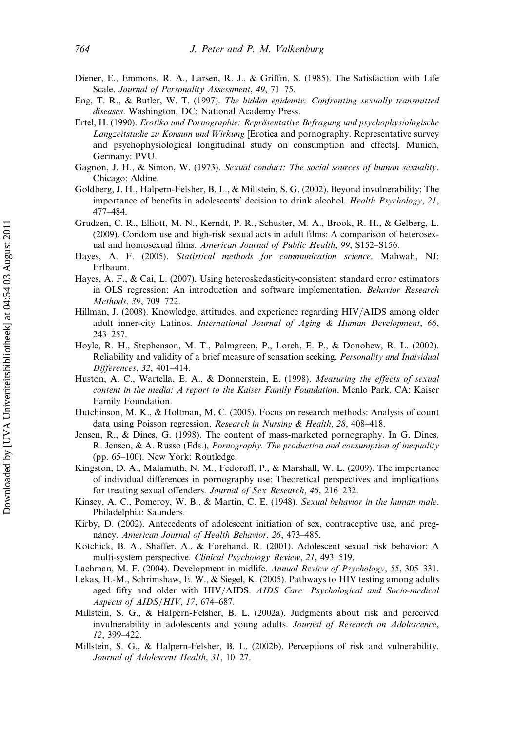- Diener, E., Emmons, R. A., Larsen, R. J., & Griffin, S. (1985). The Satisfaction with Life Scale. Journal of Personality Assessment, 49, 71–75.
- Eng, T. R., & Butler, W. T. (1997). The hidden epidemic: Confronting sexually transmitted diseases. Washington, DC: National Academy Press.
- Ertel, H. (1990). Erotika und Pornographie: Repräsentative Befragung und psychophysiologische Langzeitstudie zu Konsum und Wirkung [Erotica and pornography. Representative survey and psychophysiological longitudinal study on consumption and effects]. Munich, Germany: PVU.
- Gagnon, J. H., & Simon, W. (1973). Sexual conduct: The social sources of human sexuality. Chicago: Aldine.
- Goldberg, J. H., Halpern-Felsher, B. L., & Millstein, S. G. (2002). Beyond invulnerability: The importance of benefits in adolescents' decision to drink alcohol. Health Psychology, 21, 477–484.
- Grudzen, C. R., Elliott, M. N., Kerndt, P. R., Schuster, M. A., Brook, R. H., & Gelberg, L. (2009). Condom use and high-risk sexual acts in adult films: A comparison of heterosexual and homosexual films. American Journal of Public Health, 99, S152–S156.
- Hayes, A. F. (2005). Statistical methods for communication science. Mahwah, NJ: Erlbaum.
- Hayes, A. F., & Cai, L. (2007). Using heteroskedasticity-consistent standard error estimators in OLS regression: An introduction and software implementation. *Behavior Research* Methods, 39, 709–722.
- Hillman, J. (2008). Knowledge, attitudes, and experience regarding HIV/AIDS among older adult inner-city Latinos. International Journal of Aging & Human Development, 66, 243–257.
- Hoyle, R. H., Stephenson, M. T., Palmgreen, P., Lorch, E. P., & Donohew, R. L. (2002). Reliability and validity of a brief measure of sensation seeking. Personality and Individual Differences, 32, 401–414.
- Huston, A. C., Wartella, E. A., & Donnerstein, E. (1998). Measuring the effects of sexual content in the media: A report to the Kaiser Family Foundation. Menlo Park, CA: Kaiser Family Foundation.
- Hutchinson, M. K., & Holtman, M. C. (2005). Focus on research methods: Analysis of count data using Poisson regression. Research in Nursing & Health, 28, 408–418.
- Jensen, R., & Dines, G. (1998). The content of mass-marketed pornography. In G. Dines, R. Jensen, & A. Russo (Eds.), Pornography. The production and consumption of inequality (pp. 65–100). New York: Routledge.
- Kingston, D. A., Malamuth, N. M., Fedoroff, P., & Marshall, W. L. (2009). The importance of individual differences in pornography use: Theoretical perspectives and implications for treating sexual offenders. Journal of Sex Research, 46, 216–232.
- Kinsey, A. C., Pomeroy, W. B., & Martin, C. E. (1948). Sexual behavior in the human male. Philadelphia: Saunders.
- Kirby, D. (2002). Antecedents of adolescent initiation of sex, contraceptive use, and pregnancy. American Journal of Health Behavior, 26, 473–485.
- Kotchick, B. A., Shaffer, A., & Forehand, R. (2001). Adolescent sexual risk behavior: A multi-system perspective. Clinical Psychology Review, 21, 493–519.
- Lachman, M. E. (2004). Development in midlife. Annual Review of Psychology, 55, 305–331.
- Lekas, H.-M., Schrimshaw, E. W., & Siegel, K. (2005). Pathways to HIV testing among adults aged fifty and older with HIV/AIDS. AIDS Care: Psychological and Socio-medical Aspects of  $AIDS/HIV$ , 17, 674–687.
- Millstein, S. G., & Halpern-Felsher, B. L. (2002a). Judgments about risk and perceived invulnerability in adolescents and young adults. Journal of Research on Adolescence, 12, 399–422.
- Millstein, S. G., & Halpern-Felsher, B. L. (2002b). Perceptions of risk and vulnerability. Journal of Adolescent Health, 31, 10–27.